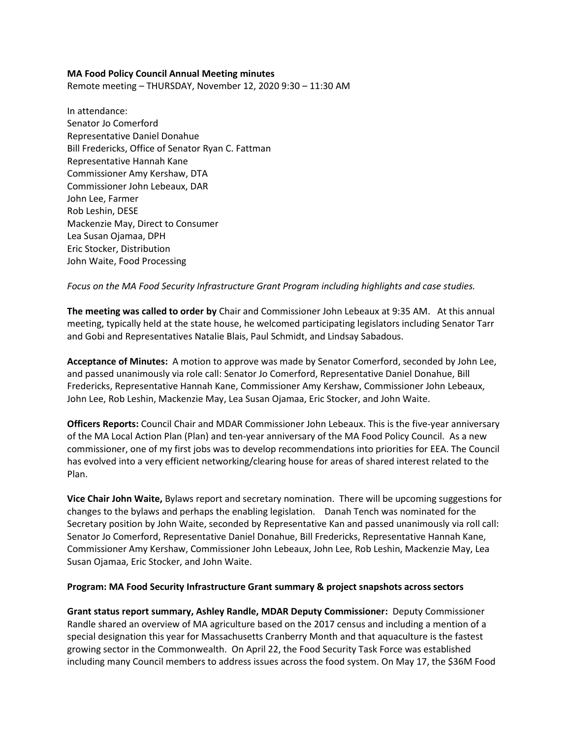# **MA Food Policy Council Annual Meeting minutes**

Remote meeting – THURSDAY, November 12, 2020 9:30 – 11:30 AM

In attendance: Senator Jo Comerford Representative Daniel Donahue Bill Fredericks, Office of Senator Ryan C. Fattman Representative Hannah Kane Commissioner Amy Kershaw, DTA Commissioner John Lebeaux, DAR John Lee, Farmer Rob Leshin, DESE Mackenzie May, Direct to Consumer Lea Susan Ojamaa, DPH Eric Stocker, Distribution John Waite, Food Processing

# *Focus on the MA Food Security Infrastructure Grant Program including highlights and case studies.*

**The meeting was called to order by** Chair and Commissioner John Lebeaux at 9:35 AM. At this annual meeting, typically held at the state house, he welcomed participating legislators including Senator Tarr and Gobi and Representatives Natalie Blais, Paul Schmidt, and Lindsay Sabadous.

**Acceptance of Minutes:** A motion to approve was made by Senator Comerford, seconded by John Lee, and passed unanimously via role call: Senator Jo Comerford, Representative Daniel Donahue, Bill Fredericks, Representative Hannah Kane, Commissioner Amy Kershaw, Commissioner John Lebeaux, John Lee, Rob Leshin, Mackenzie May, Lea Susan Ojamaa, Eric Stocker, and John Waite.

**Officers Reports:** Council Chair and MDAR Commissioner John Lebeaux. This is the five-year anniversary of the MA Local Action Plan (Plan) and ten-year anniversary of the MA Food Policy Council. As a new commissioner, one of my first jobs was to develop recommendations into priorities for EEA. The Council has evolved into a very efficient networking/clearing house for areas of shared interest related to the Plan.

**Vice Chair John Waite,** Bylaws report and secretary nomination. There will be upcoming suggestions for changes to the bylaws and perhaps the enabling legislation. Danah Tench was nominated for the Secretary position by John Waite, seconded by Representative Kan and passed unanimously via roll call: Senator Jo Comerford, Representative Daniel Donahue, Bill Fredericks, Representative Hannah Kane, Commissioner Amy Kershaw, Commissioner John Lebeaux, John Lee, Rob Leshin, Mackenzie May, Lea Susan Ojamaa, Eric Stocker, and John Waite.

#### **Program: MA Food Security Infrastructure Grant summary & project snapshots across sectors**

**Grant status report summary, Ashley Randle, MDAR Deputy Commissioner:** Deputy Commissioner Randle shared an overview of MA agriculture based on the 2017 census and including a mention of a special designation this year for Massachusetts Cranberry Month and that aquaculture is the fastest growing sector in the Commonwealth. On April 22, the Food Security Task Force was established including many Council members to address issues across the food system. On May 17, the \$36M Food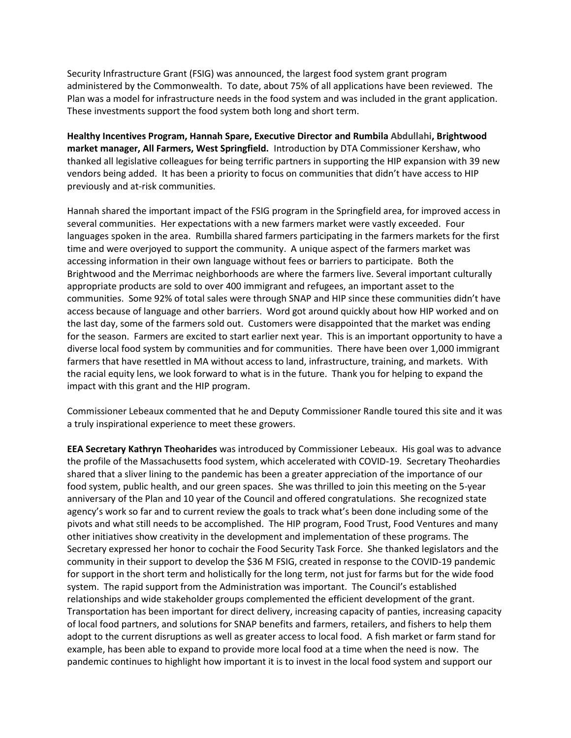Security Infrastructure Grant (FSIG) was announced, the largest food system grant program administered by the Commonwealth. To date, about 75% of all applications have been reviewed. The Plan was a model for infrastructure needs in the food system and was included in the grant application. These investments support the food system both long and short term.

**Healthy Incentives Program, Hannah Spare, Executive Director and Rumbila Abdullahi, Brightwood market manager, All Farmers, West Springfield.** Introduction by DTA Commissioner Kershaw, who thanked all legislative colleagues for being terrific partners in supporting the HIP expansion with 39 new vendors being added. It has been a priority to focus on communities that didn't have access to HIP previously and at-risk communities.

Hannah shared the important impact of the FSIG program in the Springfield area, for improved access in several communities. Her expectations with a new farmers market were vastly exceeded. Four languages spoken in the area. Rumbilla shared farmers participating in the farmers markets for the first time and were overjoyed to support the community. A unique aspect of the farmers market was accessing information in their own language without fees or barriers to participate. Both the Brightwood and the Merrimac neighborhoods are where the farmers live. Several important culturally appropriate products are sold to over 400 immigrant and refugees, an important asset to the communities. Some 92% of total sales were through SNAP and HIP since these communities didn't have access because of language and other barriers. Word got around quickly about how HIP worked and on the last day, some of the farmers sold out. Customers were disappointed that the market was ending for the season. Farmers are excited to start earlier next year. This is an important opportunity to have a diverse local food system by communities and for communities. There have been over 1,000 immigrant farmers that have resettled in MA without access to land, infrastructure, training, and markets. With the racial equity lens, we look forward to what is in the future. Thank you for helping to expand the impact with this grant and the HIP program.

Commissioner Lebeaux commented that he and Deputy Commissioner Randle toured this site and it was a truly inspirational experience to meet these growers.

**EEA Secretary Kathryn Theoharides** was introduced by Commissioner Lebeaux. His goal was to advance the profile of the Massachusetts food system, which accelerated with COVID-19. Secretary Theohardies shared that a sliver lining to the pandemic has been a greater appreciation of the importance of our food system, public health, and our green spaces. She was thrilled to join this meeting on the 5-year anniversary of the Plan and 10 year of the Council and offered congratulations. She recognized state agency's work so far and to current review the goals to track what's been done including some of the pivots and what still needs to be accomplished. The HIP program, Food Trust, Food Ventures and many other initiatives show creativity in the development and implementation of these programs. The Secretary expressed her honor to cochair the Food Security Task Force. She thanked legislators and the community in their support to develop the \$36 M FSIG, created in response to the COVID-19 pandemic for support in the short term and holistically for the long term, not just for farms but for the wide food system. The rapid support from the Administration was important. The Council's established relationships and wide stakeholder groups complemented the efficient development of the grant. Transportation has been important for direct delivery, increasing capacity of panties, increasing capacity of local food partners, and solutions for SNAP benefits and farmers, retailers, and fishers to help them adopt to the current disruptions as well as greater access to local food. A fish market or farm stand for example, has been able to expand to provide more local food at a time when the need is now. The pandemic continues to highlight how important it is to invest in the local food system and support our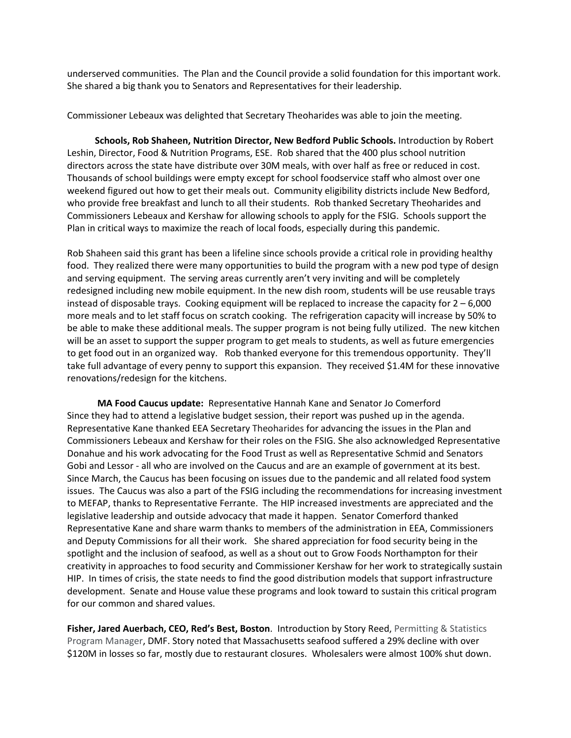underserved communities. The Plan and the Council provide a solid foundation for this important work. She shared a big thank you to Senators and Representatives for their leadership.

Commissioner Lebeaux was delighted that Secretary Theoharides was able to join the meeting.

 **Schools, Rob Shaheen, Nutrition Director, New Bedford Public Schools.** Introduction by Robert Leshin, Director, Food & Nutrition Programs, ESE. Rob shared that the 400 plus school nutrition directors across the state have distribute over 30M meals, with over half as free or reduced in cost. Thousands of school buildings were empty except for school foodservice staff who almost over one weekend figured out how to get their meals out. Community eligibility districts include New Bedford, who provide free breakfast and lunch to all their students. Rob thanked Secretary Theoharides and Commissioners Lebeaux and Kershaw for allowing schools to apply for the FSIG. Schools support the Plan in critical ways to maximize the reach of local foods, especially during this pandemic.

Rob Shaheen said this grant has been a lifeline since schools provide a critical role in providing healthy food. They realized there were many opportunities to build the program with a new pod type of design and serving equipment. The serving areas currently aren't very inviting and will be completely redesigned including new mobile equipment. In the new dish room, students will be use reusable trays instead of disposable trays. Cooking equipment will be replaced to increase the capacity for  $2 - 6,000$ more meals and to let staff focus on scratch cooking. The refrigeration capacity will increase by 50% to be able to make these additional meals. The supper program is not being fully utilized. The new kitchen will be an asset to support the supper program to get meals to students, as well as future emergencies to get food out in an organized way. Rob thanked everyone for this tremendous opportunity. They'll take full advantage of every penny to support this expansion. They received \$1.4M for these innovative renovations/redesign for the kitchens.

 **MA Food Caucus update:** Representative Hannah Kane and Senator Jo Comerford Since they had to attend a legislative budget session, their report was pushed up in the agenda. Representative Kane thanked EEA Secretary Theoharides for advancing the issues in the Plan and Commissioners Lebeaux and Kershaw for their roles on the FSIG. She also acknowledged Representative Donahue and his work advocating for the Food Trust as well as Representative Schmid and Senators Gobi and Lessor - all who are involved on the Caucus and are an example of government at its best. Since March, the Caucus has been focusing on issues due to the pandemic and all related food system issues. The Caucus was also a part of the FSIG including the recommendations for increasing investment to MEFAP, thanks to Representative Ferrante. The HIP increased investments are appreciated and the legislative leadership and outside advocacy that made it happen. Senator Comerford thanked Representative Kane and share warm thanks to members of the administration in EEA, Commissioners and Deputy Commissions for all their work. She shared appreciation for food security being in the spotlight and the inclusion of seafood, as well as a shout out to Grow Foods Northampton for their creativity in approaches to food security and Commissioner Kershaw for her work to strategically sustain HIP. In times of crisis, the state needs to find the good distribution models that support infrastructure development. Senate and House value these programs and look toward to sustain this critical program for our common and shared values.

**Fisher, Jared Auerbach, CEO, Red's Best, Boston**. Introduction by Story Reed, Permitting & Statistics Program Manager, DMF. Story noted that Massachusetts seafood suffered a 29% decline with over \$120M in losses so far, mostly due to restaurant closures. Wholesalers were almost 100% shut down.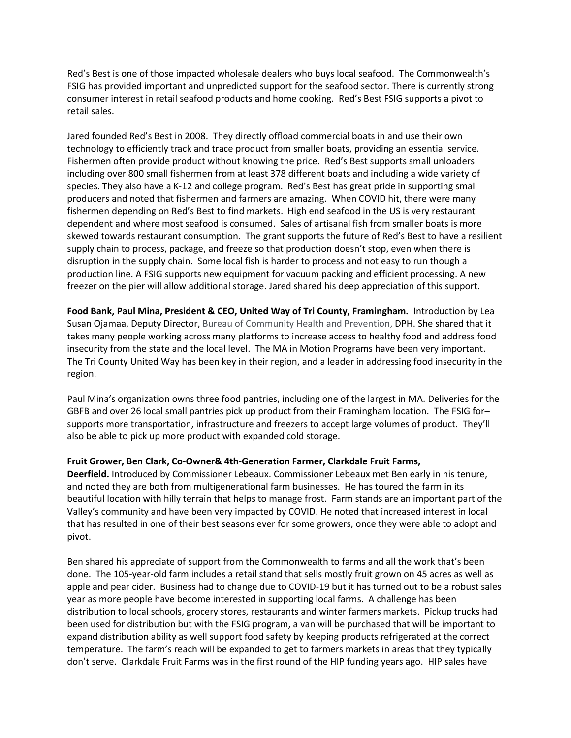Red's Best is one of those impacted wholesale dealers who buys local seafood. The Commonwealth's FSIG has provided important and unpredicted support for the seafood sector. There is currently strong consumer interest in retail seafood products and home cooking. Red's Best FSIG supports a pivot to retail sales.

Jared founded Red's Best in 2008. They directly offload commercial boats in and use their own technology to efficiently track and trace product from smaller boats, providing an essential service. Fishermen often provide product without knowing the price. Red's Best supports small unloaders including over 800 small fishermen from at least 378 different boats and including a wide variety of species. They also have a K-12 and college program. Red's Best has great pride in supporting small producers and noted that fishermen and farmers are amazing. When COVID hit, there were many fishermen depending on Red's Best to find markets. High end seafood in the US is very restaurant dependent and where most seafood is consumed. Sales of artisanal fish from smaller boats is more skewed towards restaurant consumption. The grant supports the future of Red's Best to have a resilient supply chain to process, package, and freeze so that production doesn't stop, even when there is disruption in the supply chain. Some local fish is harder to process and not easy to run though a production line. A FSIG supports new equipment for vacuum packing and efficient processing. A new freezer on the pier will allow additional storage. Jared shared his deep appreciation of this support.

**Food Bank, Paul Mina, President & CEO, United Way of Tri County, Framingham.** Introduction by Lea Susan Ojamaa, Deputy Director, Bureau of Community Health and Prevention, DPH. She shared that it takes many people working across many platforms to increase access to healthy food and address food insecurity from the state and the local level. The MA in Motion Programs have been very important. The Tri County United Way has been key in their region, and a leader in addressing food insecurity in the region.

Paul Mina's organization owns three food pantries, including one of the largest in MA. Deliveries for the GBFB and over 26 local small pantries pick up product from their Framingham location. The FSIG for– supports more transportation, infrastructure and freezers to accept large volumes of product. They'll also be able to pick up more product with expanded cold storage.

#### **Fruit Grower, Ben Clark, Co-Owner& 4th-Generation Farmer, Clarkdale Fruit Farms,**

**Deerfield.** Introduced by Commissioner Lebeaux. Commissioner Lebeaux met Ben early in his tenure, and noted they are both from multigenerational farm businesses. He has toured the farm in its beautiful location with hilly terrain that helps to manage frost. Farm stands are an important part of the Valley's community and have been very impacted by COVID. He noted that increased interest in local that has resulted in one of their best seasons ever for some growers, once they were able to adopt and pivot.

Ben shared his appreciate of support from the Commonwealth to farms and all the work that's been done. The 105-year-old farm includes a retail stand that sells mostly fruit grown on 45 acres as well as apple and pear cider. Business had to change due to COVID-19 but it has turned out to be a robust sales year as more people have become interested in supporting local farms. A challenge has been distribution to local schools, grocery stores, restaurants and winter farmers markets. Pickup trucks had been used for distribution but with the FSIG program, a van will be purchased that will be important to expand distribution ability as well support food safety by keeping products refrigerated at the correct temperature. The farm's reach will be expanded to get to farmers markets in areas that they typically don't serve. Clarkdale Fruit Farms was in the first round of the HIP funding years ago. HIP sales have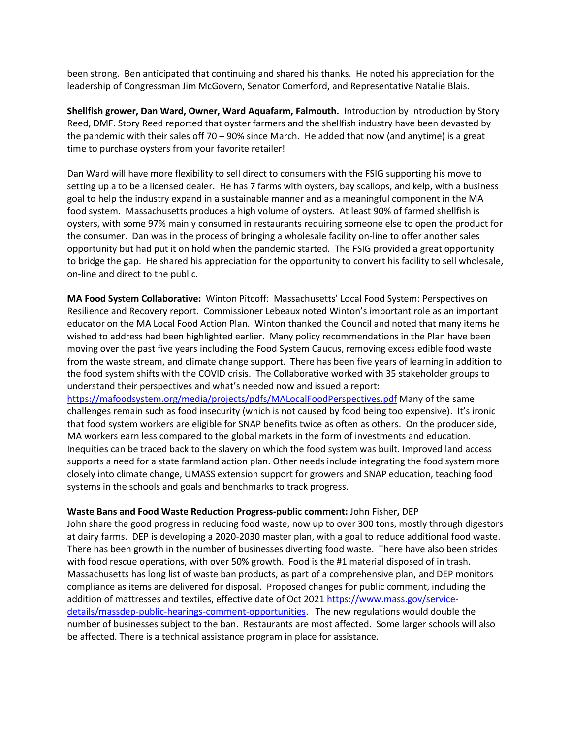been strong. Ben anticipated that continuing and shared his thanks. He noted his appreciation for the leadership of Congressman Jim McGovern, Senator Comerford, and Representative Natalie Blais.

**Shellfish grower, Dan Ward, Owner, Ward Aquafarm, Falmouth.** Introduction by Introduction by Story Reed, DMF. Story Reed reported that oyster farmers and the shellfish industry have been devasted by the pandemic with their sales off 70 – 90% since March. He added that now (and anytime) is a great time to purchase oysters from your favorite retailer!

Dan Ward will have more flexibility to sell direct to consumers with the FSIG supporting his move to setting up a to be a licensed dealer. He has 7 farms with oysters, bay scallops, and kelp, with a business goal to help the industry expand in a sustainable manner and as a meaningful component in the MA food system. Massachusetts produces a high volume of oysters. At least 90% of farmed shellfish is oysters, with some 97% mainly consumed in restaurants requiring someone else to open the product for the consumer. Dan was in the process of bringing a wholesale facility on-line to offer another sales opportunity but had put it on hold when the pandemic started. The FSIG provided a great opportunity to bridge the gap. He shared his appreciation for the opportunity to convert his facility to sell wholesale, on-line and direct to the public.

**MA Food System Collaborative:** Winton Pitcoff: Massachusetts' Local Food System: Perspectives on Resilience and Recovery report. Commissioner Lebeaux noted Winton's important role as an important educator on the MA Local Food Action Plan. Winton thanked the Council and noted that many items he wished to address had been highlighted earlier. Many policy recommendations in the Plan have been moving over the past five years including the Food System Caucus, removing excess edible food waste from the waste stream, and climate change support. There has been five years of learning in addition to the food system shifts with the COVID crisis. The Collaborative worked with 35 stakeholder groups to understand their perspectives and what's needed now and issued a report:

<https://mafoodsystem.org/media/projects/pdfs/MALocalFoodPerspectives.pdf> Many of the same challenges remain such as food insecurity (which is not caused by food being too expensive). It's ironic that food system workers are eligible for SNAP benefits twice as often as others. On the producer side, MA workers earn less compared to the global markets in the form of investments and education. Inequities can be traced back to the slavery on which the food system was built. Improved land access supports a need for a state farmland action plan. Other needs include integrating the food system more closely into climate change, UMASS extension support for growers and SNAP education, teaching food systems in the schools and goals and benchmarks to track progress.

#### **Waste Bans and Food Waste Reduction Progress-public comment:** John Fisher**,** DEP

John share the good progress in reducing food waste, now up to over 300 tons, mostly through digestors at dairy farms. DEP is developing a 2020-2030 master plan, with a goal to reduce additional food waste. There has been growth in the number of businesses diverting food waste. There have also been strides with food rescue operations, with over 50% growth. Food is the #1 material disposed of in trash. Massachusetts has long list of waste ban products, as part of a comprehensive plan, and DEP monitors compliance as items are delivered for disposal. Proposed changes for public comment, including the addition of mattresses and textiles, effective date of Oct 2021 [https://www.mass.gov/service](https://www.mass.gov/service-details/massdep-public-hearings-comment-opportunities)[details/massdep-public-hearings-comment-opportunities.](https://www.mass.gov/service-details/massdep-public-hearings-comment-opportunities) The new regulations would double the number of businesses subject to the ban. Restaurants are most affected. Some larger schools will also be affected. There is a technical assistance program in place for assistance.